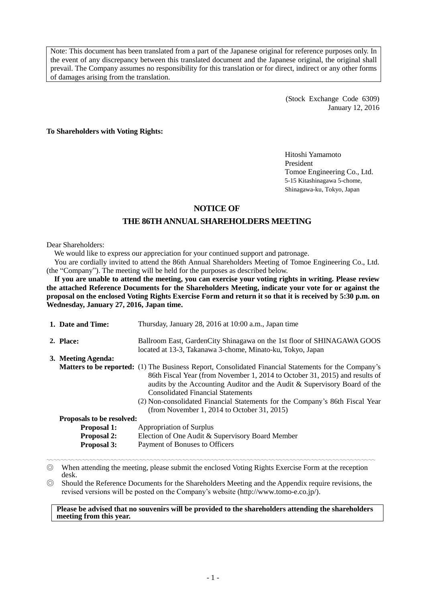Note: This document has been translated from a part of the Japanese original for reference purposes only. In the event of any discrepancy between this translated document and the Japanese original, the original shall prevail. The Company assumes no responsibility for this translation or for direct, indirect or any other forms of damages arising from the translation.

> (Stock Exchange Code 6309) January 12, 2016

**To Shareholders with Voting Rights:**

Hitoshi Yamamoto President Tomoe Engineering Co., Ltd. 5-15 Kitashinagawa 5-chome, Shinagawa-ku, Tokyo, Japan

# **NOTICE OF**

# **THE 86THANNUAL SHAREHOLDERS MEETING**

#### Dear Shareholders:

We would like to express our appreciation for your continued support and patronage.

You are cordially invited to attend the 86th Annual Shareholders Meeting of Tomoe Engineering Co., Ltd. (the "Company"). The meeting will be held for the purposes as described below.

**If you are unable to attend the meeting, you can exercise your voting rights in writing. Please review the attached Reference Documents for the Shareholders Meeting, indicate your vote for or against the proposal on the enclosed Voting Rights Exercise Form and return it so that it is received by 5:30 p.m. on Wednesday, January 27, 2016, Japan time.**

| 1. Date and Time:                              | Thursday, January 28, 2016 at 10:00 a.m., Japan time                                                                                                                                                                                                                                                                                                                                                                                               |  |
|------------------------------------------------|----------------------------------------------------------------------------------------------------------------------------------------------------------------------------------------------------------------------------------------------------------------------------------------------------------------------------------------------------------------------------------------------------------------------------------------------------|--|
| 2. Place:                                      | Ballroom East, Garden City Shinagawa on the 1st floor of SHINAGAWA GOOS                                                                                                                                                                                                                                                                                                                                                                            |  |
|                                                | located at 13-3, Takanawa 3-chome, Minato-ku, Tokyo, Japan                                                                                                                                                                                                                                                                                                                                                                                         |  |
| 3. Meeting Agenda:                             |                                                                                                                                                                                                                                                                                                                                                                                                                                                    |  |
|                                                | <b>Matters to be reported:</b> (1) The Business Report, Consolidated Financial Statements for the Company's<br>86th Fiscal Year (from November 1, 2014 to October 31, 2015) and results of<br>audits by the Accounting Auditor and the Audit & Supervisory Board of the<br><b>Consolidated Financial Statements</b><br>(2) Non-consolidated Financial Statements for the Company's 86th Fiscal Year<br>(from November 1, 2014 to October 31, 2015) |  |
| <b>Proposals to be resolved:</b>               |                                                                                                                                                                                                                                                                                                                                                                                                                                                    |  |
| Appropriation of Surplus<br><b>Proposal 1:</b> |                                                                                                                                                                                                                                                                                                                                                                                                                                                    |  |
| <b>Proposal 2:</b>                             | Election of One Audit & Supervisory Board Member                                                                                                                                                                                                                                                                                                                                                                                                   |  |
| <b>Proposal 3:</b>                             | Payment of Bonuses to Officers                                                                                                                                                                                                                                                                                                                                                                                                                     |  |

〰〰〰〰〰〰〰〰〰〰〰〰〰〰〰〰〰〰〰〰〰〰〰〰〰〰〰〰〰〰〰〰〰〰〰〰〰〰〰〰〰〰〰〰〰〰 ◎ When attending the meeting, please submit the enclosed Voting Rights Exercise Form at the reception desk.

◎ Should the Reference Documents for the Shareholders Meeting and the Appendix require revisions, the revised versions will be posted on the Company's website (http://www.tomo-e.co.jp/).

**Please be advised that no souvenirs will be provided to the shareholders attending the shareholders meeting from this year.**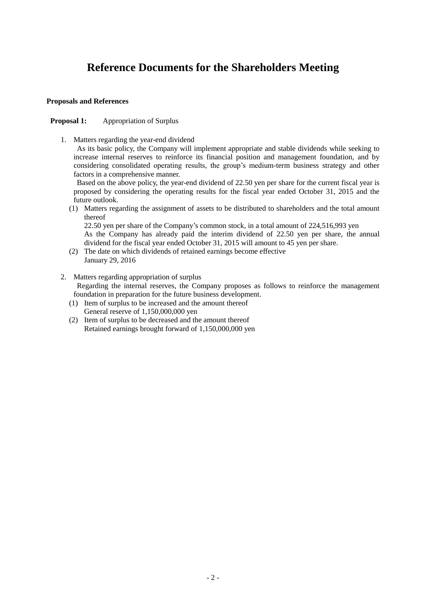# **Reference Documents for the Shareholders Meeting**

#### **Proposals and References**

# **Proposal 1:** Appropriation of Surplus

1. Matters regarding the year-end dividend

As its basic policy, the Company will implement appropriate and stable dividends while seeking to increase internal reserves to reinforce its financial position and management foundation, and by considering consolidated operating results, the group's medium-term business strategy and other factors in a comprehensive manner.

Based on the above policy, the year-end dividend of 22.50 yen per share for the current fiscal year is proposed by considering the operating results for the fiscal year ended October 31, 2015 and the future outlook.

(1) Matters regarding the assignment of assets to be distributed to shareholders and the total amount thereof

22.50 yen per share of the Company's common stock, in a total amount of 224,516,993 yen

As the Company has already paid the interim dividend of 22.50 yen per share, the annual dividend for the fiscal year ended October 31, 2015 will amount to 45 yen per share.

- (2) The date on which dividends of retained earnings become effective January 29, 2016
- 2. Matters regarding appropriation of surplus Regarding the internal reserves, the Company proposes as follows to reinforce the management foundation in preparation for the future business development.
	- (1) Item of surplus to be increased and the amount thereof General reserve of 1,150,000,000 yen
	- (2) Item of surplus to be decreased and the amount thereof Retained earnings brought forward of 1,150,000,000 yen